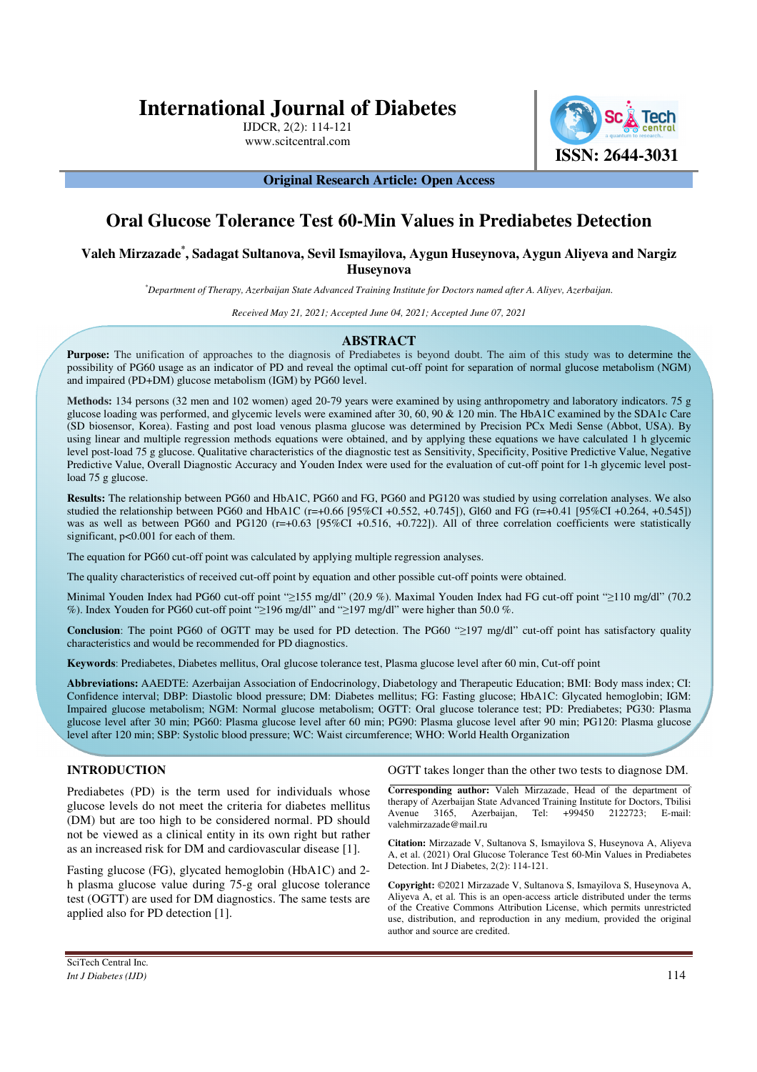# **International Journal of Diabetes**

IJDCR, 2(2): 114-121 www.scitcentral.com



### **Original Research Article: Open Access**

# **Oral Glucose Tolerance Test 60-Min Values in Prediabetes Detection**

# **Valeh Mirzazade\* , Sadagat Sultanova, Sevil Ismayilova, Aygun Huseynova, Aygun Aliyeva and Nargiz Huseynova**

*\*Department of Therapy, Azerbaijan State Advanced Training Institute for Doctors named after A. Aliyev, Azerbaijan.* 

*Received May 21, 2021; Accepted June 04, 2021; Accepted June 07, 2021*

# **ABSTRACT**

Purpose: The unification of approaches to the diagnosis of Prediabetes is beyond doubt. The aim of this study was to determine the possibility of PG60 usage as an indicator of PD and reveal the optimal cut-off point for separation of normal glucose metabolism (NGM) and impaired (PD+DM) glucose metabolism (IGM) by PG60 level.

**Methods:** 134 persons (32 men and 102 women) aged 20-79 years were examined by using anthropometry and laboratory indicators. 75 g glucose loading was performed, and glycemic levels were examined after 30, 60, 90 & 120 min. The HbA1C examined by the SDA1c Care (SD biosensor, Korea). Fasting and post load venous plasma glucose was determined by Precision PCx Medi Sense (Abbot, USA). By using linear and multiple regression methods equations were obtained, and by applying these equations we have calculated 1 h glycemic level post-load 75 g glucose. Qualitative characteristics of the diagnostic test as Sensitivity, Specificity, Positive Predictive Value, Negative Predictive Value, Overall Diagnostic Accuracy and Youden Index were used for the evaluation of cut-off point for 1-h glycemic level postload 75 g glucose.

**Results:** The relationship between PG60 and HbA1C, PG60 and FG, PG60 and PG120 was studied by using correlation analyses. We also studied the relationship between PG60 and HbA1C (r=+0.66 [95%CI +0.552, +0.745]), Gl60 and FG (r=+0.41 [95%CI +0.264, +0.545]) was as well as between PG60 and PG120 (r=+0.63 [95%CI +0.516, +0.722]). All of three correlation coefficients were statistically significant,  $p<0.001$  for each of them.

The equation for PG60 cut-off point was calculated by applying multiple regression analyses.

The quality characteristics of received cut-off point by equation and other possible cut-off points were obtained.

Minimal Youden Index had PG60 cut-off point "≥155 mg/dl" (20.9 %). Maximal Youden Index had FG cut-off point "≥110 mg/dl" (70.2 %). Index Youden for PG60 cut-off point "≥196 mg/dl" and "≥197 mg/dl" were higher than 50.0 %.

**Conclusion**: The point PG60 of OGTT may be used for PD detection. The PG60 "≥197 mg/dl" cut-off point has satisfactory quality characteristics and would be recommended for PD diagnostics.

**Keywords**: Prediabetes, Diabetes mellitus, Oral glucose tolerance test, Plasma glucose level after 60 min, Cut-off point

**Abbreviations:** AAEDTE: Azerbaijan Association of Endocrinology, Diabetology and Therapeutic Education; BMI: Body mass index; CI: Confidence interval; DBP: Diastolic blood pressure; DM: Diabetes mellitus; FG: Fasting glucose; HbA1C: Glycated hemoglobin; IGM: Impaired glucose metabolism; NGM: Normal glucose metabolism; OGTT: Oral glucose tolerance test; PD: Prediabetes; PG30: Plasma glucose level after 30 min; PG60: Plasma glucose level after 60 min; PG90: Plasma glucose level after 90 min; PG120: Plasma glucose level after 120 min; SBP: Systolic blood pressure; WC: Waist circumference; WHO: World Health Organization

# **INTRODUCTION**

Prediabetes (PD) is the term used for individuals whose glucose levels do not meet the criteria for diabetes mellitus (DM) but are too high to be considered normal. PD should not be viewed as a clinical entity in its own right but rather as an increased risk for DM and cardiovascular disease [1].

Fasting glucose (FG), glycated hemoglobin (HbA1C) and 2 h plasma glucose value during 75-g oral glucose tolerance test (OGTT) are used for DM diagnostics. The same tests are applied also for PD detection [1].

OGTT takes longer than the other two tests to diagnose DM.

**Corresponding author:** Valeh Mirzazade, Head of the department of therapy of Azerbaijan State Advanced Training Institute for Doctors, Tbilisi Avenue 3165, Azerbaijan, Tel: +99450 2122723; E-mail: valehmirzazade@mail.ru

**Citation:** Mirzazade V, Sultanova S, Ismayilova S, Huseynova A, Aliyeva A, et al. (2021) Oral Glucose Tolerance Test 60-Min Values in Prediabetes Detection. Int J Diabetes, 2(2): 114-121.

**Copyright:** ©2021 Mirzazade V, Sultanova S, Ismayilova S, Huseynova A, Aliyeva A, et al. This is an open-access article distributed under the terms of the Creative Commons Attribution License, which permits unrestricted use, distribution, and reproduction in any medium, provided the original author and source are credited.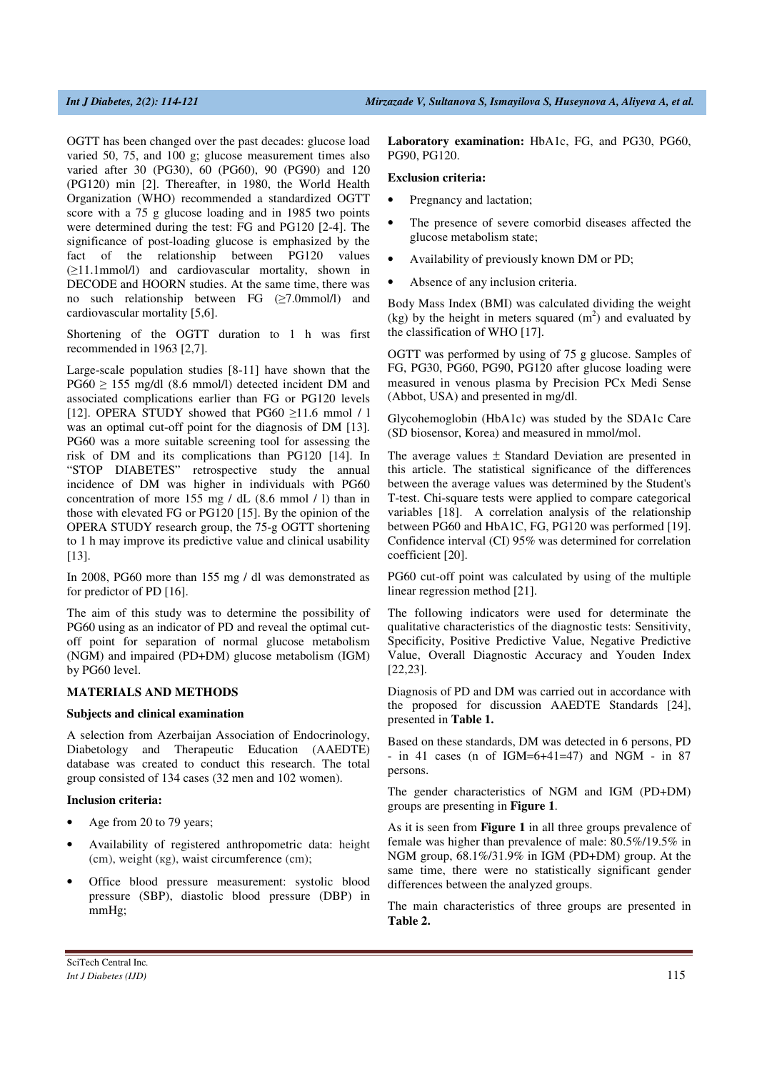OGTT has been changed over the past decades: glucose load varied 50, 75, and 100 g; glucose measurement times also varied after 30 (PG30), 60 (PG60), 90 (PG90) and 120 (PG120) min [2]. Thereafter, in 1980, the World Health Organization (WHO) recommended a standardized OGTT score with a 75 g glucose loading and in 1985 two points were determined during the test: FG and PG120 [2-4]. The significance of post-loading glucose is emphasized by the fact of the relationship between PG120 values (≥11.1mmol/l) and cardiovascular mortality, shown in DECODE and HOORN studies. At the same time, there was no such relationship between FG (≥7.0mmol/l) and cardiovascular mortality [5,6].

Shortening of the OGTT duration to 1 h was first recommended in 1963 [2,7].

Large-scale population studies [8-11] have shown that the  $PG60 \ge 155$  mg/dl (8.6 mmol/l) detected incident DM and associated complications earlier than FG or PG120 levels [12]. OPERA STUDY showed that PG60  $\geq$ 11.6 mmol / l was an optimal cut-off point for the diagnosis of DM [13]. PG60 was a more suitable screening tool for assessing the risk of DM and its complications than PG120 [14]. In "STOP DIABETES" retrospective study the annual incidence of DM was higher in individuals with PG60 concentration of more 155 mg / dL (8.6 mmol / l) than in those with elevated FG or PG120 [15]. By the opinion of the OPERA STUDY research group, the 75-g OGTT shortening to 1 h may improve its predictive value and clinical usability [13].

In 2008, PG60 more than 155 mg / dl was demonstrated as for predictor of PD [16].

The aim of this study was to determine the possibility of PG60 using as an indicator of PD and reveal the optimal cutoff point for separation of normal glucose metabolism (NGM) and impaired (PD+DM) glucose metabolism (IGM) by PG60 level.

# **MATERIALS AND METHODS**

#### **Subjects and clinical examination**

A selection from Azerbaijan Association of Endocrinology, Diabetology and Therapeutic Education (AAEDTE) database was created to conduct this research. The total group consisted of 134 cases (32 men and 102 women).

#### **Inclusion criteria:**

- Age from 20 to 79 years;
- Availability of registered anthropometric data: height (сm), weight (кg), waist circumference (сm);
- Office blood pressure measurement: systolic blood pressure (SBP), diastolic blood pressure (DBP) in mmHg;

**Laboratory examination:** HbA1c, FG, and PG30, PG60, PG90, PG120.

#### **Exclusion criteria:**

- Pregnancy and lactation;
- The presence of severe comorbid diseases affected the glucose metabolism state;
- Availability of previously known DM or PD;
- Absence of any inclusion criteria.

Body Mass Index (BMI) was calculated dividing the weight  $(kg)$  by the height in meters squared  $(m<sup>2</sup>)$  and evaluated by the classification of WHO [17].

OGTT was performed by using of 75 g glucose. Samples of FG, PG30, PG60, PG90, PG120 after glucose loading were measured in venous plasma by Precision PCx Medi Sense (Abbot, USA) and presented in mg/dl.

Glycohemoglobin (HbA1c) was studed by the SDA1c Care (SD biosensor, Korea) and measured in mmol/mol.

The average values  $\pm$  Standard Deviation are presented in this article. The statistical significance of the differences between the average values was determined by the Student's T-test. Chi-square tests were applied to compare categorical variables [18]. A correlation analysis of the relationship between PG60 and HbA1C, FG, PG120 was performed [19]. Confidence interval (CI) 95% was determined for correlation coefficient [20].

PG60 cut-off point was calculated by using of the multiple linear regression method [21].

The following indicators were used for determinate the qualitative characteristics of the diagnostic tests: Sensitivity, Specificity, Positive Predictive Value, Negative Predictive Value, Overall Diagnostic Accuracy and Youden Index [22,23].

Diagnosis of PD and DM was carried out in accordance with the proposed for discussion AAEDTE Standards [24], presented in **Table 1.**

Based on these standards, DM was detected in 6 persons, PD  $-$  in 41 cases (n of IGM=6+41=47) and NGM  $-$  in 87 persons.

The gender characteristics of NGM and IGM (PD+DM) groups are presenting in **Figure 1**.

As it is seen from **Figure 1** in all three groups prevalence of female was higher than prevalence of male: 80.5%/19.5% in NGM group, 68.1%/31.9% in IGM (PD+DM) group. At the same time, there were no statistically significant gender differences between the analyzed groups.

The main characteristics of three groups are presented in **Table 2.**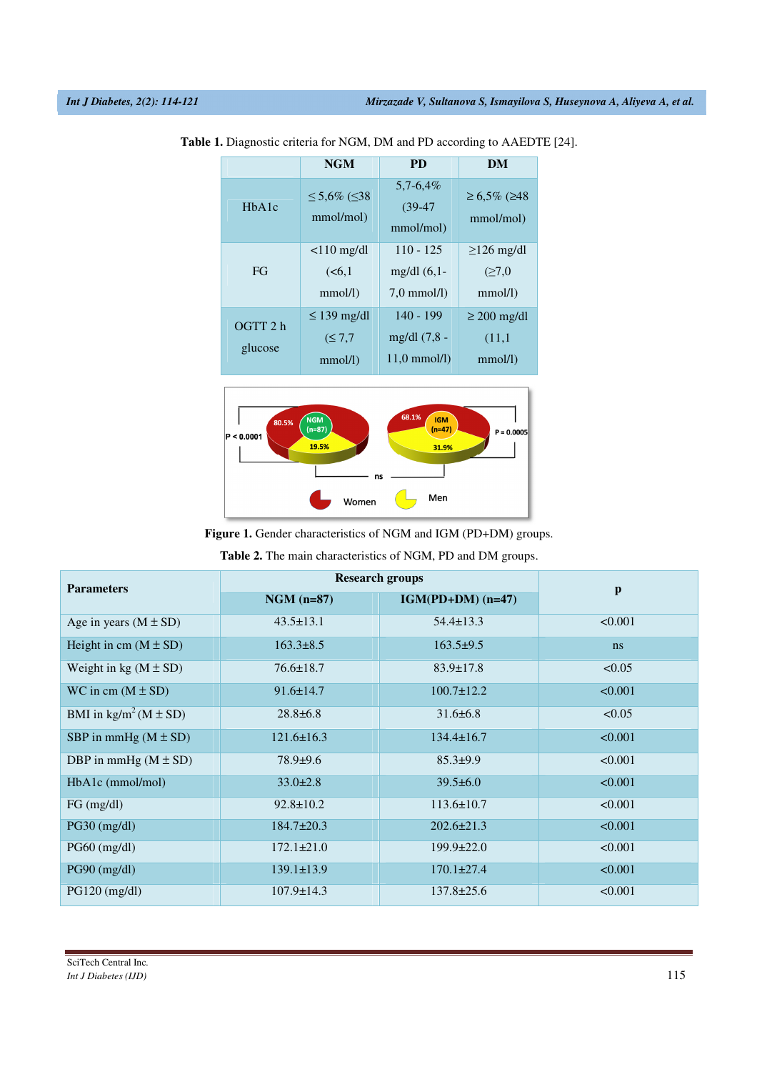|                                 | <b>NGM</b>                                | <b>PD</b>                                             | DM                                            |  |
|---------------------------------|-------------------------------------------|-------------------------------------------------------|-----------------------------------------------|--|
| H <sub>b</sub> A <sub>1</sub> c | ≤ 5,6% (≤38<br>mmol/mol)                  | $5,7-6,4%$<br>$(39-47)$<br>mmol/mol)                  | $≥ 6,5\% (≥48)$<br>mmol/mol)                  |  |
| FG                              | $<$ 10 mg/dl<br>(< 6.1<br>$mmol/l$ )      | $110 - 125$<br>mg/dl $(6,1$ -<br>$7.0 \text{ mmol/l}$ | $\geq$ 126 mg/dl<br>$(\geq 7.0$<br>$mmol/l$ ) |  |
| OGTT 2 h<br>glucose             | $\leq$ 139 mg/dl<br>(S 7.7)<br>$mmol/l$ ) | $140 - 199$<br>mg/dl (7,8 -<br>$11.0 \text{ mmol/l}$  | $\geq$ 200 mg/dl<br>(11,1)<br>$mmol/l$ )      |  |

**Table 1.** Diagnostic criteria for NGM, DM and PD according to AAEDTE [24].



**Figure 1.** Gender characteristics of NGM and IGM (PD+DM) groups.

**Table 2.** The main characteristics of NGM, PD and DM groups.

| <b>Parameters</b>                                            | <b>Research groups</b> |                     |                           |  |
|--------------------------------------------------------------|------------------------|---------------------|---------------------------|--|
|                                                              | $NGM$ (n=87)           | $IGM(PD+DM)$ (n=47) | $\boldsymbol{\mathrm{p}}$ |  |
| Age in years $(M \pm SD)$                                    | $43.5 \pm 13.1$        | $54.4 \pm 13.3$     | < 0.001                   |  |
| Height in cm $(M \pm SD)$                                    | $163.3 \pm 8.5$        | $163.5+9.5$         | ns                        |  |
| Weight in kg $(M \pm SD)$                                    | $76.6 \pm 18.7$        | $83.9 \pm 17.8$     | < 0.05                    |  |
| WC in cm $(M \pm SD)$                                        | $91.6 \pm 14.7$        | $100.7 \pm 12.2$    | < 0.001                   |  |
| BMI in $\text{kg/m}^2 \left( \text{M} \pm \text{SD} \right)$ | $28.8 \pm 6.8$         | $31.6 \pm 6.8$      | < 0.05                    |  |
| SBP in mmHg $(M \pm SD)$                                     | $121.6 \pm 16.3$       | $134.4 \pm 16.7$    | < 0.001                   |  |
| DBP in mmHg $(M \pm SD)$                                     | $78.9 \pm 9.6$         | $85.3 \pm 9.9$      | < 0.001                   |  |
| HbA1c (mmol/mol)                                             | $33.0 \pm 2.8$         | $39.5 \pm 6.0$      | < 0.001                   |  |
| FG (mg/dl)                                                   | $92.8 \pm 10.2$        | $113.6 \pm 10.7$    | < 0.001                   |  |
| $PG30$ (mg/dl)                                               | $184.7 \pm 20.3$       | $202.6 \pm 21.3$    | < 0.001                   |  |
| $PG60$ (mg/dl)                                               | $172.1 \pm 21.0$       | $199.9 \pm 22.0$    | < 0.001                   |  |
| $PG90$ (mg/dl)                                               | $139.1 \pm 13.9$       | $170.1 \pm 27.4$    | < 0.001                   |  |
| $PG120$ (mg/dl)                                              | $107.9 \pm 14.3$       | $137.8 \pm 25.6$    | < 0.001                   |  |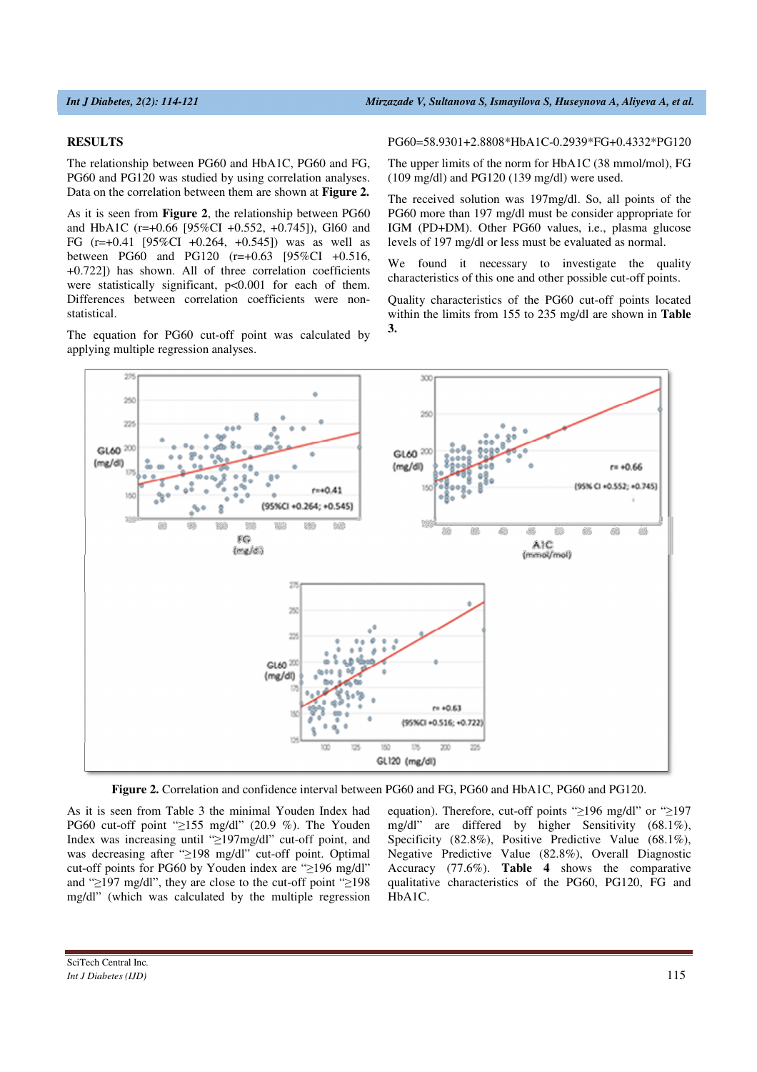#### **RESULTS**

The relationship between PG60 and HbA1C, PG60 and FG, PG60 and PG120 was studied by using correlation analyses. Data on the correlation between them are shown at **Figure 2.** 

As it is seen from **Figure 2**, the relationship between PG60 and HbA1C (r=+0.66 [95%CI +0.552, +0.745]), Gl60 and FG (r=+0.41 [95%CI +0.264, +0.545]) was as well as between PG60 and PG120 (r=+0.63 [95%CI +0.516, +0.722]) has shown. All of three correlation coefficients were statistically significant,  $p<0.001$  for each of them. Differences between correlation coefficients were nonstatistical.

The equation for PG60 cut-off point was calculated by applying multiple regression analyses.

PG60=58.9301+2.8808\*HbA1C-0.2939\*FG+0.4332\*PG120

The upper limits of the norm for HbA1C (38 mmol/mol), FG (109 mg/dl) and PG120 (139 mg/dl) were used.

The received solution was 197mg/dl. So, all points of the PG60 more than 197 mg/dl must be consider appropriate for IGM (PD+DM). Other PG60 values, i.e., plasma glucose levels of 197 mg/dl or less must be evaluated as normal.

We found it necessary to investigate the quality characteristics of this one and other possible cut-off points.

Quality characteristics of the PG60 cut-off points located within the limits from 155 to 235 mg/dl are shown in **Table 3.** 



**Figure 2.** Correlation and confidence interval between PG60 and FG, PG60 and HbA1C, PG60 and PG120.

As it is seen from Table 3 the minimal Youden Index had PG60 cut-off point "≥155 mg/dl" (20.9 %). The Youden Index was increasing until "≥197mg/dl" cut-off point, and was decreasing after "≥198 mg/dl" cut-off point. Optimal cut-off points for PG60 by Youden index are "≥196 mg/dl" and "≥197 mg/dl", they are close to the cut-off point "≥198 mg/dl" (which was calculated by the multiple regression

equation). Therefore, cut-off points "≥196 mg/dl" or "≥197 mg/dl" are differed by higher Sensitivity (68.1%), Specificity (82.8%), Positive Predictive Value (68.1%), Negative Predictive Value (82.8%), Overall Diagnostic Accuracy (77.6%). **Table 4** shows the comparative qualitative characteristics of the PG60, PG120, FG and HbA1C.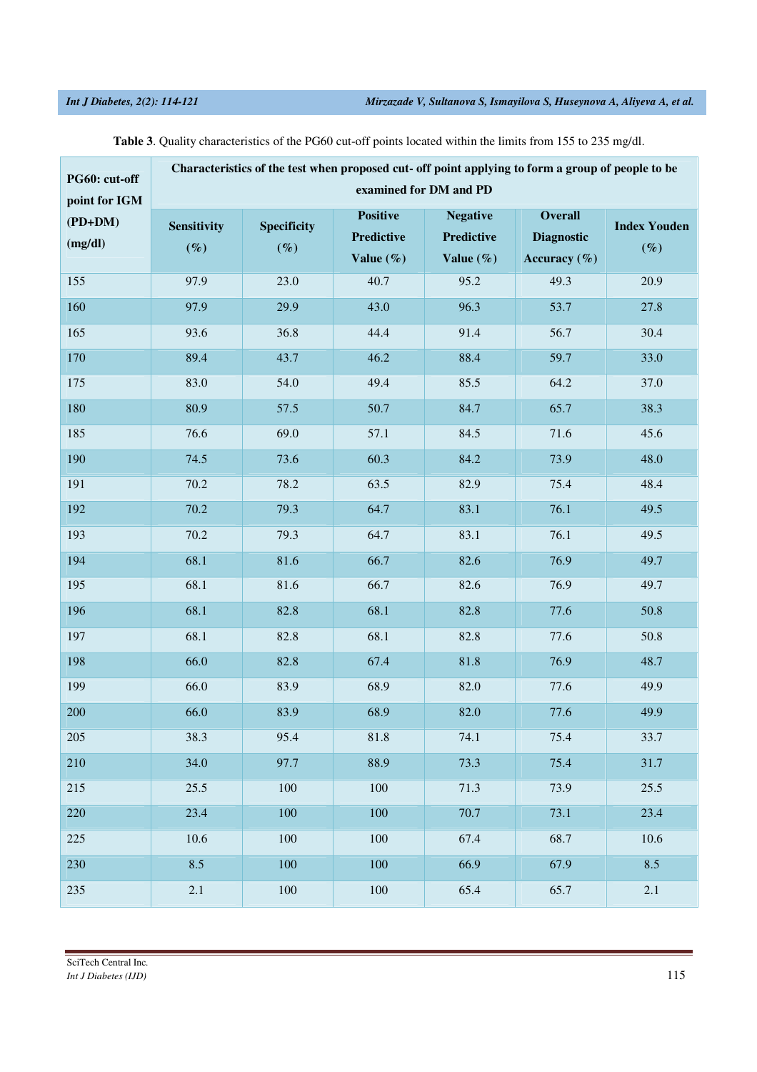| PG60: cut-off                         | Characteristics of the test when proposed cut- off point applying to form a group of people to be<br>examined for DM and PD |                              |                                                      |                                                       |                                                         |                               |  |
|---------------------------------------|-----------------------------------------------------------------------------------------------------------------------------|------------------------------|------------------------------------------------------|-------------------------------------------------------|---------------------------------------------------------|-------------------------------|--|
| point for IGM<br>$(PD+DM)$<br>(mg/dl) | Sensitivity<br>$(\%)$                                                                                                       | <b>Specificity</b><br>$(\%)$ | <b>Positive</b><br><b>Predictive</b><br>Value $(\%)$ | <b>Negative</b><br><b>Predictive</b><br>Value $(\% )$ | <b>Overall</b><br><b>Diagnostic</b><br>Accuracy $(\% )$ | <b>Index Youden</b><br>$(\%)$ |  |
| 155                                   | 97.9                                                                                                                        | 23.0                         | 40.7                                                 | 95.2                                                  | 49.3                                                    | 20.9                          |  |
| 160                                   | 97.9                                                                                                                        | 29.9                         | 43.0                                                 | 96.3                                                  | 53.7                                                    | 27.8                          |  |
| 165                                   | 93.6                                                                                                                        | 36.8                         | 44.4                                                 | 91.4                                                  | 56.7                                                    | 30.4                          |  |
| 170                                   | 89.4                                                                                                                        | 43.7                         | 46.2                                                 | 88.4                                                  | 59.7                                                    | 33.0                          |  |
| 175                                   | 83.0                                                                                                                        | 54.0                         | 49.4                                                 | 85.5                                                  | 64.2                                                    | 37.0                          |  |
| 180                                   | 80.9                                                                                                                        | 57.5                         | 50.7                                                 | 84.7                                                  | 65.7                                                    | 38.3                          |  |
| 185                                   | 76.6                                                                                                                        | 69.0                         | 57.1                                                 | 84.5                                                  | 71.6                                                    | 45.6                          |  |
| 190                                   | 74.5                                                                                                                        | 73.6                         | 60.3                                                 | 84.2                                                  | 73.9                                                    | 48.0                          |  |
| 191                                   | 70.2                                                                                                                        | 78.2                         | 63.5                                                 | 82.9                                                  | 75.4                                                    | 48.4                          |  |
| 192                                   | 70.2                                                                                                                        | 79.3                         | 64.7                                                 | 83.1                                                  | 76.1                                                    | 49.5                          |  |
| 193                                   | 70.2                                                                                                                        | 79.3                         | 64.7                                                 | 83.1                                                  | 76.1                                                    | 49.5                          |  |
| 194                                   | 68.1                                                                                                                        | 81.6                         | 66.7                                                 | 82.6                                                  | 76.9                                                    | 49.7                          |  |
| 195                                   | 68.1                                                                                                                        | 81.6                         | 66.7                                                 | 82.6                                                  | 76.9                                                    | 49.7                          |  |
| 196                                   | 68.1                                                                                                                        | 82.8                         | 68.1                                                 | 82.8                                                  | 77.6                                                    | 50.8                          |  |
| 197                                   | 68.1                                                                                                                        | 82.8                         | 68.1                                                 | 82.8                                                  | 77.6                                                    | 50.8                          |  |
| 198                                   | 66.0                                                                                                                        | 82.8                         | 67.4                                                 | 81.8                                                  | 76.9                                                    | 48.7                          |  |
| 199                                   | 66.0                                                                                                                        | 83.9                         | 68.9                                                 | 82.0                                                  | 77.6                                                    | 49.9                          |  |
| 200                                   | 66.0                                                                                                                        | 83.9                         | 68.9                                                 | 82.0                                                  | 77.6                                                    | 49.9                          |  |
| 205                                   | 38.3                                                                                                                        | 95.4                         | 81.8                                                 | 74.1                                                  | 75.4                                                    | 33.7                          |  |
| 210                                   | 34.0                                                                                                                        | 97.7                         | 88.9                                                 | 73.3                                                  | 75.4                                                    | 31.7                          |  |
| 215                                   | 25.5                                                                                                                        | 100                          | 100                                                  | 71.3                                                  | 73.9                                                    | 25.5                          |  |
| 220                                   | 23.4                                                                                                                        | 100                          | 100                                                  | 70.7                                                  | 73.1                                                    | 23.4                          |  |
| 225                                   | 10.6                                                                                                                        | 100                          | 100                                                  | 67.4                                                  | 68.7                                                    | 10.6                          |  |
| 230                                   | 8.5                                                                                                                         | 100                          | 100                                                  | 66.9                                                  | 67.9                                                    | 8.5                           |  |
| 235                                   | $2.1\,$                                                                                                                     | 100                          | 100                                                  | 65.4                                                  | 65.7                                                    | 2.1                           |  |

**Table 3**. Quality characteristics of the PG60 cut-off points located within the limits from 155 to 235 mg/dl.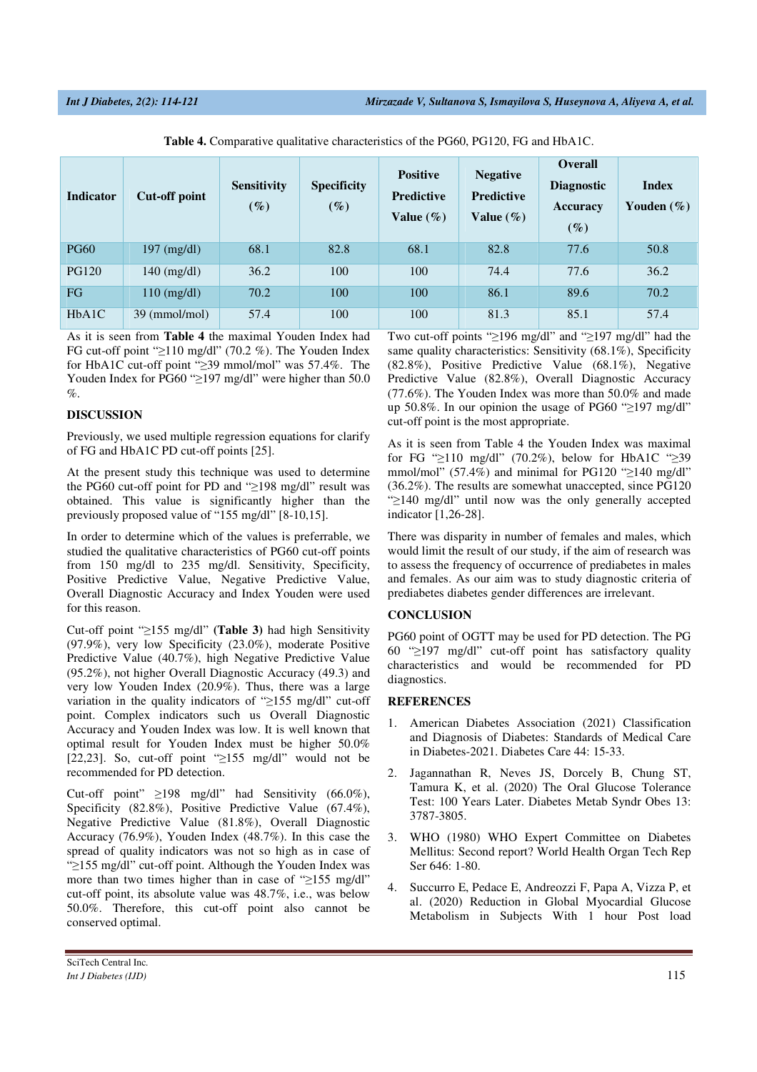| <b>Indicator</b>                | Cut-off point         | <b>Sensitivity</b><br>$(\%)$ | <b>Specificity</b><br>$(\%)$ | <b>Positive</b><br><b>Predictive</b><br>Value $(\%)$ | <b>Negative</b><br><b>Predictive</b><br>Value $(\%)$ | <b>Overall</b><br><b>Diagnostic</b><br><b>Accuracy</b><br>$(\%)$ | <b>Index</b><br>Youden $(\% )$ |
|---------------------------------|-----------------------|------------------------------|------------------------------|------------------------------------------------------|------------------------------------------------------|------------------------------------------------------------------|--------------------------------|
| <b>PG60</b>                     | $197 \text{ (mg/dl)}$ | 68.1                         | 82.8                         | 68.1                                                 | 82.8                                                 | 77.6                                                             | 50.8                           |
| <b>PG120</b>                    | $140 \text{ (mg/dl)}$ | 36.2                         | 100                          | 100                                                  | 74.4                                                 | 77.6                                                             | 36.2                           |
| FG                              | $110 \text{ (mg/dl)}$ | 70.2                         | 100                          | 100                                                  | 86.1                                                 | 89.6                                                             | 70.2                           |
| H <sub>b</sub> A <sub>1</sub> C | 39 (mmol/mol)         | 57.4                         | 100                          | 100                                                  | 81.3                                                 | 85.1                                                             | 57.4                           |

|  |  |  |  |  |  | <b>Table 4.</b> Comparative qualitative characteristics of the PG60, PG120, FG and HbA1C. |
|--|--|--|--|--|--|-------------------------------------------------------------------------------------------|
|--|--|--|--|--|--|-------------------------------------------------------------------------------------------|

As it is seen from **Table 4** the maximal Youden Index had FG cut-off point "≥110 mg/dl" (70.2 %). The Youden Index for HbA1C cut-off point "≥39 mmol/mol" was 57.4%. The Youden Index for PG60 "≥197 mg/dl" were higher than 50.0 %.

# **DISCUSSION**

Previously, we used multiple regression equations for clarify of FG and HbA1C PD cut-off points [25].

At the present study this technique was used to determine the PG60 cut-off point for PD and "≥198 mg/dl" result was obtained. This value is significantly higher than the previously proposed value of "155 mg/dl" [8-10,15].

In order to determine which of the values is preferrable, we studied the qualitative characteristics of PG60 cut-off points from 150 mg/dl to 235 mg/dl. Sensitivity, Specificity, Positive Predictive Value, Negative Predictive Value, Overall Diagnostic Accuracy and Index Youden were used for this reason.

Cut-off point "≥155 mg/dl" **(Table 3)** had high Sensitivity (97.9%), very low Specificity (23.0%), moderate Positive Predictive Value (40.7%), high Negative Predictive Value (95.2%), not higher Overall Diagnostic Accuracy (49.3) and very low Youden Index (20.9%). Thus, there was a large variation in the quality indicators of "≥155 mg/dl" cut-off point. Complex indicators such us Overall Diagnostic Accuracy and Youden Index was low. It is well known that optimal result for Youden Index must be higher 50.0% [22,23]. So, cut-off point "≥155 mg/dl" would not be recommended for PD detection.

Cut-off point" ≥198 mg/dl" had Sensitivity (66.0%), Specificity (82.8%), Positive Predictive Value (67.4%), Negative Predictive Value (81.8%), Overall Diagnostic Accuracy (76.9%), Youden Index (48.7%). In this case the spread of quality indicators was not so high as in case of "≥155 mg/dl" cut-off point. Although the Youden Index was more than two times higher than in case of "≥155 mg/dl" cut-off point, its absolute value was 48.7%, i.e., was below 50.0%. Therefore, this cut-off point also cannot be conserved optimal.

Two cut-off points "≥196 mg/dl" and "≥197 mg/dl" had the same quality characteristics: Sensitivity (68.1%), Specificity (82.8%), Positive Predictive Value (68.1%), Negative Predictive Value (82.8%), Overall Diagnostic Accuracy (77.6%). The Youden Index was more than 50.0% and made up 50.8%. In our opinion the usage of PG60 "≥197 mg/dl" cut-off point is the most appropriate.

As it is seen from Table 4 the Youden Index was maximal for FG "≥110 mg/dl" (70.2%), below for HbA1C "≥39 mmol/mol" (57.4%) and minimal for PG120 " $\geq$ 140 mg/dl" (36.2%). The results are somewhat unaccepted, since PG120 "≥140 mg/dl" until now was the only generally accepted indicator [1,26-28].

There was disparity in number of females and males, which would limit the result of our study, if the aim of research was to assess the frequency of occurrence of prediabetes in males and females. As our aim was to study diagnostic criteria of prediabetes diabetes gender differences are irrelevant.

### **CONCLUSION**

PG60 point of OGTT may be used for PD detection. The PG 60 "≥197 mg/dl" cut-off point has satisfactory quality characteristics and would be recommended for PD diagnostics.

### **REFERENCES**

- 1. American Diabetes Association (2021) Classification and Diagnosis of Diabetes: Standards of Medical Care in Diabetes-2021. Diabetes Care 44: 15-33.
- 2. Jagannathan R, Neves JS, Dorcely B, Chung ST, Tamura K, et al. (2020) The Oral Glucose Tolerance Test: 100 Years Later. Diabetes Metab Syndr Obes 13: 3787-3805.
- 3. WHO (1980) WHO Expert Committee on Diabetes Mellitus: Second report? World Health Organ Tech Rep Ser 646: 1-80.
- 4. Succurro E, Pedace E, Andreozzi F, Papa A, Vizza P, et al. (2020) Reduction in Global Myocardial Glucose Metabolism in Subjects With 1 hour Post load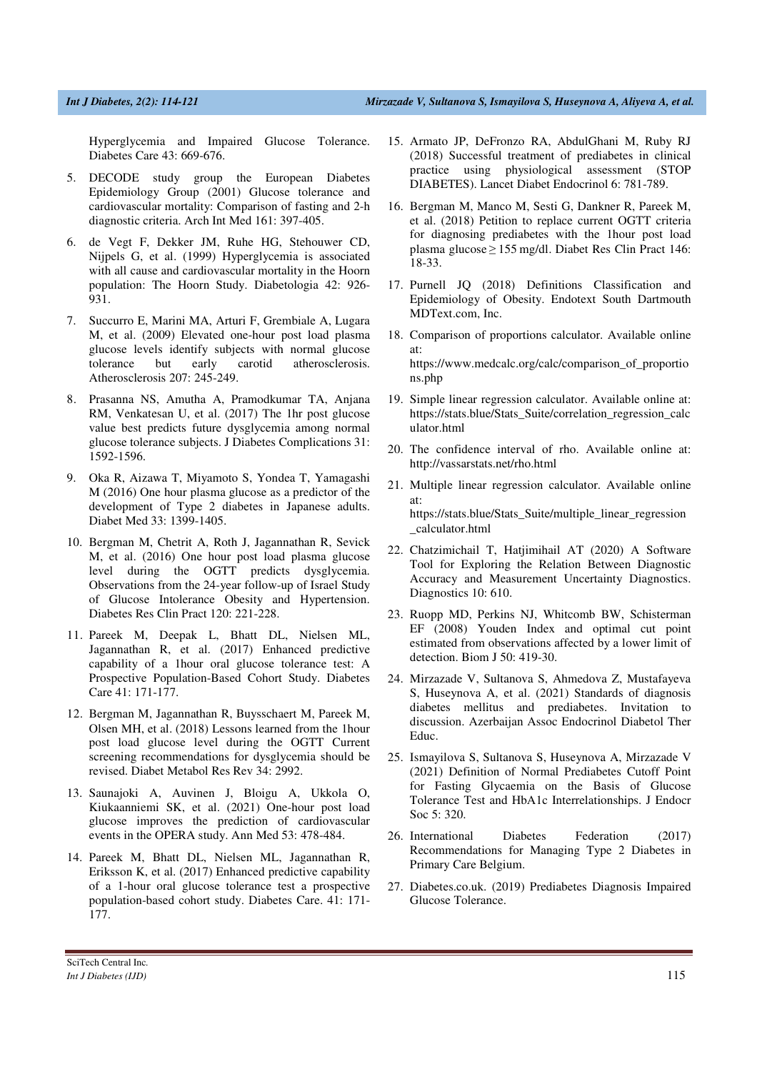Hyperglycemia and Impaired Glucose Tolerance. Diabetes Care 43: 669-676.

- 5. DECODE study group the European Diabetes Epidemiology Group (2001) Glucose tolerance and cardiovascular mortality: Comparison of fasting and 2-h diagnostic criteria. Arch Int Med 161: 397-405.
- 6. de Vegt F, Dekker JM, Ruhe HG, Stehouwer CD, Nijpels G, et al. (1999) Hyperglycemia is associated with all cause and cardiovascular mortality in the Hoorn population: The Hoorn Study. Diabetologia 42: 926- 931.
- 7. Succurro E, Marini MA, Arturi F, Grembiale A, Lugara M, et al. (2009) Elevated one-hour post load plasma glucose levels identify subjects with normal glucose tolerance but early carotid atherosclerosis. Atherosclerosis 207: 245-249.
- 8. Prasanna NS, Amutha A, Pramodkumar TA, Anjana RM, Venkatesan U, et al. (2017) The 1hr post glucose value best predicts future dysglycemia among normal glucose tolerance subjects. J Diabetes Complications 31: 1592-1596.
- 9. Oka R, Aizawa T, Miyamoto S, Yondea T, Yamagashi M (2016) One hour plasma glucose as a predictor of the development of Type 2 diabetes in Japanese adults. Diabet Med 33: 1399-1405.
- 10. Bergman M, Chetrit A, Roth J, Jagannathan R, Sevick M, et al. (2016) One hour post load plasma glucose level during the OGTT predicts dysglycemia. Observations from the 24-year follow-up of Israel Study of Glucose Intolerance Obesity and Hypertension. Diabetes Res Clin Pract 120: 221-228.
- 11. Pareek M, Deepak L, Bhatt DL, Nielsen ML, Jagannathan R, et al. (2017) Enhanced predictive capability of a 1hour oral glucose tolerance test: A Prospective Population-Based Cohort Study. Diabetes Care 41: 171-177.
- 12. Bergman M, Jagannathan R, Buysschaert M, Pareek M, Olsen MH, et al. (2018) Lessons learned from the 1hour post load glucose level during the OGTT Current screening recommendations for dysglycemia should be revised. Diabet Metabol Res Rev 34: 2992.
- 13. Saunajoki A, Auvinen J, Bloigu A, Ukkola O, Kiukaanniemi SK, et al. (2021) One-hour post load glucose improves the prediction of cardiovascular events in the OPERA study. Ann Med 53: 478-484.
- 14. Pareek M, Bhatt DL, Nielsen ML, Jagannathan R, Eriksson K, et al. (2017) Enhanced predictive capability of a 1-hour oral glucose tolerance test a prospective population-based cohort study. Diabetes Care. 41: 171- 177.
- 15. Armato JP, DeFronzo RA, AbdulGhani M, Ruby RJ (2018) Successful treatment of prediabetes in clinical practice using physiological assessment (STOP DIABETES). Lancet Diabet Endocrinol 6: 781-789.
- 16. Bergman M, Manco M, Sesti G, Dankner R, Pareek M, et al. (2018) Petition to replace current OGTT criteria for diagnosing prediabetes with the 1hour post load plasma glucose ≥ 155 mg/dl. Diabet Res Clin Pract 146: 18-33.
- 17. Purnell JQ (2018) Definitions Classification and Epidemiology of Obesity. Endotext South Dartmouth MDText.com, Inc.
- 18. Comparison of proportions calculator. Available online at: https://www.medcalc.org/calc/comparison\_of\_proportio ns.php
- 19. Simple linear regression calculator. Available online at: https://stats.blue/Stats\_Suite/correlation\_regression\_calc ulator.html
- 20. The confidence interval of rho. Available online at: http://vassarstats.net/rho.html
- 21. Multiple linear regression calculator. Available online at: https://stats.blue/Stats\_Suite/multiple\_linear\_regression \_calculator.html
- 22. Chatzimichail T, Hatjimihail AT (2020) A Software Tool for Exploring the Relation Between Diagnostic Accuracy and Measurement Uncertainty Diagnostics. Diagnostics 10: 610.
- 23. Ruopp MD, Perkins NJ, Whitcomb BW, Schisterman EF (2008) Youden Index and optimal cut point estimated from observations affected by a lower limit of detection. Biom J 50: 419-30.
- 24. Mirzazade V, Sultanova S, Ahmedova Z, Mustafayeva S, Huseynova A, et al. (2021) Standards of diagnosis diabetes mellitus and prediabetes. Invitation to discussion. Azerbaijan Assoc Endocrinol Diabetol Ther Educ.
- 25. Ismayilova S, Sultanova S, Huseynova A, Mirzazade V (2021) Definition of Normal Prediabetes Cutoff Point for Fasting Glycaemia on the Basis of Glucose Tolerance Test and HbA1c Interrelationships. J Endocr Soc 5: 320.
- 26. International Diabetes Federation (2017) Recommendations for Managing Type 2 Diabetes in Primary Care Belgium.
- 27. Diabetes.co.uk. (2019) Prediabetes Diagnosis Impaired Glucose Tolerance.